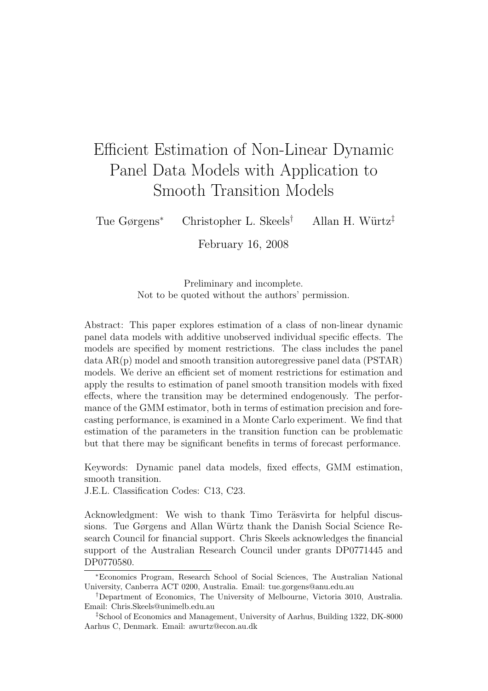# Efficient Estimation of Non-Linear Dynamic Panel Data Models with Application to Smooth Transition Models

Tue Gørgens<sup>∗</sup> Christopher L. Skeels<sup>†</sup> Allan H. Würtz<sup>‡</sup>

February 16, 2008

Preliminary and incomplete. Not to be quoted without the authors' permission.

Abstract: This paper explores estimation of a class of non-linear dynamic panel data models with additive unobserved individual specific effects. The models are specified by moment restrictions. The class includes the panel data AR(p) model and smooth transition autoregressive panel data (PSTAR) models. We derive an efficient set of moment restrictions for estimation and apply the results to estimation of panel smooth transition models with fixed effects, where the transition may be determined endogenously. The performance of the GMM estimator, both in terms of estimation precision and forecasting performance, is examined in a Monte Carlo experiment. We find that estimation of the parameters in the transition function can be problematic but that there may be significant benefits in terms of forecast performance.

Keywords: Dynamic panel data models, fixed effects, GMM estimation, smooth transition.

J.E.L. Classification Codes: C13, C23.

Acknowledgment: We wish to thank Timo Teräsvirta for helpful discussions. Tue Gørgens and Allan Würtz thank the Danish Social Science Research Council for financial support. Chris Skeels acknowledges the financial support of the Australian Research Council under grants DP0771445 and DP0770580.

<sup>∗</sup>Economics Program, Research School of Social Sciences, The Australian National University, Canberra ACT 0200, Australia. Email: tue.gorgens@anu.edu.au

<sup>†</sup>Department of Economics, The University of Melbourne, Victoria 3010, Australia. Email: Chris.Skeels@unimelb.edu.au

<sup>‡</sup>School of Economics and Management, University of Aarhus, Building 1322, DK-8000 Aarhus C, Denmark. Email: awurtz@econ.au.dk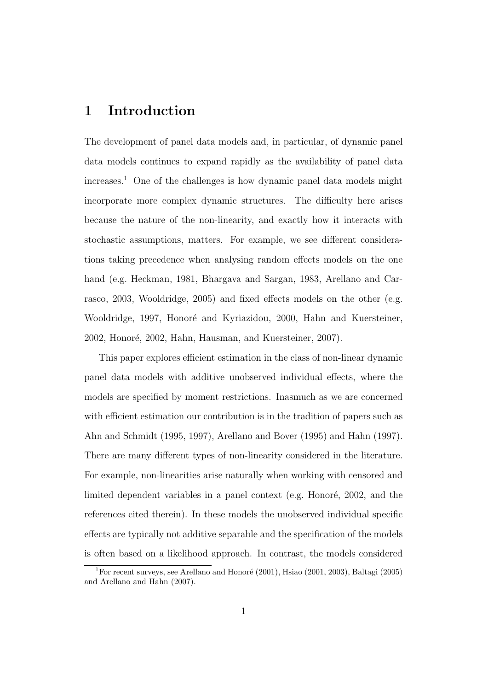### 1 Introduction

The development of panel data models and, in particular, of dynamic panel data models continues to expand rapidly as the availability of panel data increases.<sup>1</sup> One of the challenges is how dynamic panel data models might incorporate more complex dynamic structures. The difficulty here arises because the nature of the non-linearity, and exactly how it interacts with stochastic assumptions, matters. For example, we see different considerations taking precedence when analysing random effects models on the one hand (e.g. Heckman, 1981, Bhargava and Sargan, 1983, Arellano and Carrasco, 2003, Wooldridge, 2005) and fixed effects models on the other (e.g. Wooldridge, 1997, Honoré and Kyriazidou, 2000, Hahn and Kuersteiner, 2002, Honoré, 2002, Hahn, Hausman, and Kuersteiner, 2007).

This paper explores efficient estimation in the class of non-linear dynamic panel data models with additive unobserved individual effects, where the models are specified by moment restrictions. Inasmuch as we are concerned with efficient estimation our contribution is in the tradition of papers such as Ahn and Schmidt (1995, 1997), Arellano and Bover (1995) and Hahn (1997). There are many different types of non-linearity considered in the literature. For example, non-linearities arise naturally when working with censored and limited dependent variables in a panel context  $(e.g.$  Honor $\acute{e}$ , 2002, and the references cited therein). In these models the unobserved individual specific effects are typically not additive separable and the specification of the models is often based on a likelihood approach. In contrast, the models considered

<sup>&</sup>lt;sup>1</sup>For recent surveys, see Arellano and Honoré (2001), Hsiao (2001, 2003), Baltagi (2005) and Arellano and Hahn (2007).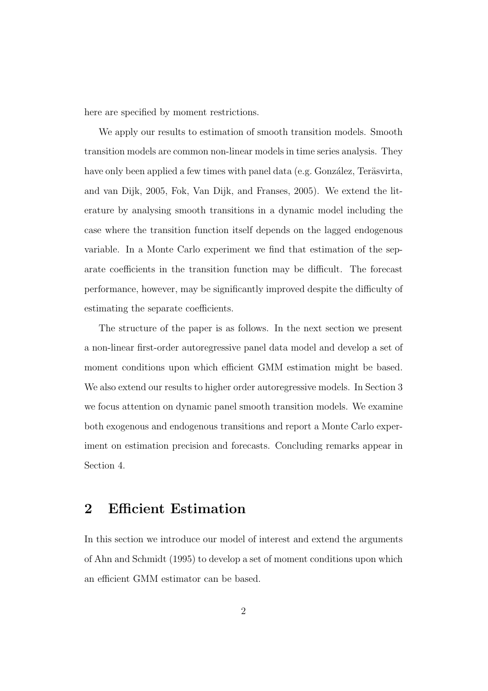here are specified by moment restrictions.

We apply our results to estimation of smooth transition models. Smooth transition models are common non-linear models in time series analysis. They have only been applied a few times with panel data (e.g. González, Teräsvirta, and van Dijk, 2005, Fok, Van Dijk, and Franses, 2005). We extend the literature by analysing smooth transitions in a dynamic model including the case where the transition function itself depends on the lagged endogenous variable. In a Monte Carlo experiment we find that estimation of the separate coefficients in the transition function may be difficult. The forecast performance, however, may be significantly improved despite the difficulty of estimating the separate coefficients.

The structure of the paper is as follows. In the next section we present a non-linear first-order autoregressive panel data model and develop a set of moment conditions upon which efficient GMM estimation might be based. We also extend our results to higher order autoregressive models. In Section 3 we focus attention on dynamic panel smooth transition models. We examine both exogenous and endogenous transitions and report a Monte Carlo experiment on estimation precision and forecasts. Concluding remarks appear in Section 4.

### 2 Efficient Estimation

In this section we introduce our model of interest and extend the arguments of Ahn and Schmidt (1995) to develop a set of moment conditions upon which an efficient GMM estimator can be based.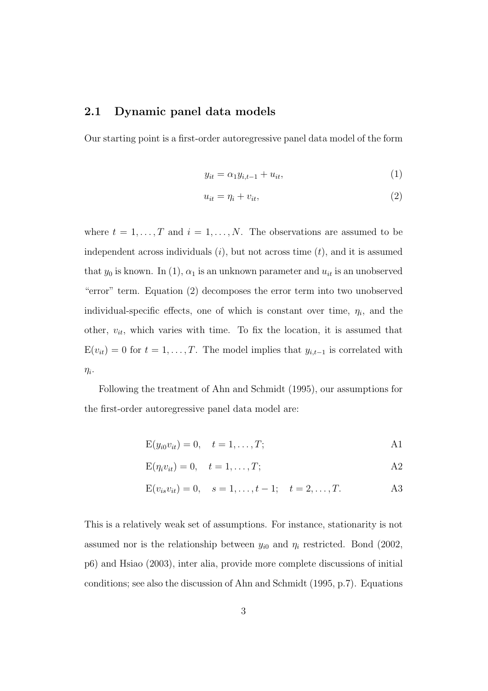#### 2.1 Dynamic panel data models

Our starting point is a first-order autoregressive panel data model of the form

$$
y_{it} = \alpha_1 y_{i,t-1} + u_{it},\tag{1}
$$

$$
u_{it} = \eta_i + v_{it},\tag{2}
$$

where  $t = 1, \ldots, T$  and  $i = 1, \ldots, N$ . The observations are assumed to be independent across individuals  $(i)$ , but not across time  $(t)$ , and it is assumed that  $y_0$  is known. In (1),  $\alpha_1$  is an unknown parameter and  $u_{it}$  is an unobserved "error" term. Equation (2) decomposes the error term into two unobserved individual-specific effects, one of which is constant over time,  $\eta_i$ , and the other,  $v_{it}$ , which varies with time. To fix the location, it is assumed that  $E(v_{it}) = 0$  for  $t = 1, ..., T$ . The model implies that  $y_{i,t-1}$  is correlated with  $\eta_i$ .

Following the treatment of Ahn and Schmidt (1995), our assumptions for the first-order autoregressive panel data model are:

$$
E(y_{i0}v_{it})=0, \quad t=1,\ldots,T;
$$

$$
E(\eta_i v_{it}) = 0, \quad t = 1, \dots, T; \tag{A2}
$$

$$
E(v_{is}v_{it}) = 0, \quad s = 1, \dots, t - 1; \quad t = 2, \dots, T.
$$

This is a relatively weak set of assumptions. For instance, stationarity is not assumed nor is the relationship between  $y_{i0}$  and  $\eta_i$  restricted. Bond (2002, p6) and Hsiao (2003), inter alia, provide more complete discussions of initial conditions; see also the discussion of Ahn and Schmidt (1995, p.7). Equations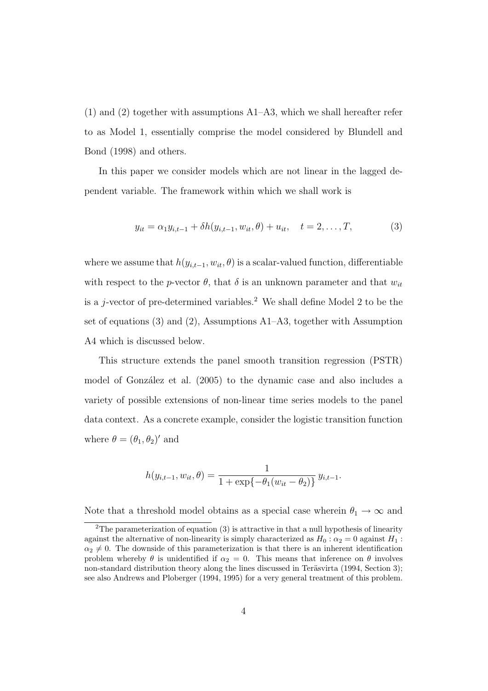$(1)$  and  $(2)$  together with assumptions A1–A3, which we shall hereafter refer to as Model 1, essentially comprise the model considered by Blundell and Bond (1998) and others.

In this paper we consider models which are not linear in the lagged dependent variable. The framework within which we shall work is

$$
y_{it} = \alpha_1 y_{i,t-1} + \delta h(y_{i,t-1}, w_{it}, \theta) + u_{it}, \quad t = 2, \dots, T,
$$
 (3)

where we assume that  $h(y_{i,t-1}, w_{it}, \theta)$  is a scalar-valued function, differentiable with respect to the p-vector  $\theta$ , that  $\delta$  is an unknown parameter and that  $w_{it}$ is a  $j$ -vector of pre-determined variables.<sup>2</sup> We shall define Model 2 to be the set of equations (3) and (2), Assumptions A1–A3, together with Assumption A4 which is discussed below.

This structure extends the panel smooth transition regression (PSTR) model of González et al. (2005) to the dynamic case and also includes a variety of possible extensions of non-linear time series models to the panel data context. As a concrete example, consider the logistic transition function where  $\theta = (\theta_1, \theta_2)'$  and

$$
h(y_{i,t-1}, w_{it}, \theta) = \frac{1}{1 + \exp\{-\theta_1(w_{it} - \theta_2)\}} y_{i,t-1}.
$$

Note that a threshold model obtains as a special case wherein  $\theta_1 \rightarrow \infty$  and

<sup>&</sup>lt;sup>2</sup>The parameterization of equation  $(3)$  is attractive in that a null hypothesis of linearity against the alternative of non-linearity is simply characterized as  $H_0$ :  $\alpha_2 = 0$  against  $H_1$ :  $\alpha_2 \neq 0$ . The downside of this parameterization is that there is an inherent identification problem whereby  $\theta$  is unidentified if  $\alpha_2 = 0$ . This means that inference on  $\theta$  involves non-standard distribution theory along the lines discussed in Teräsvirta (1994, Section 3); see also Andrews and Ploberger (1994, 1995) for a very general treatment of this problem.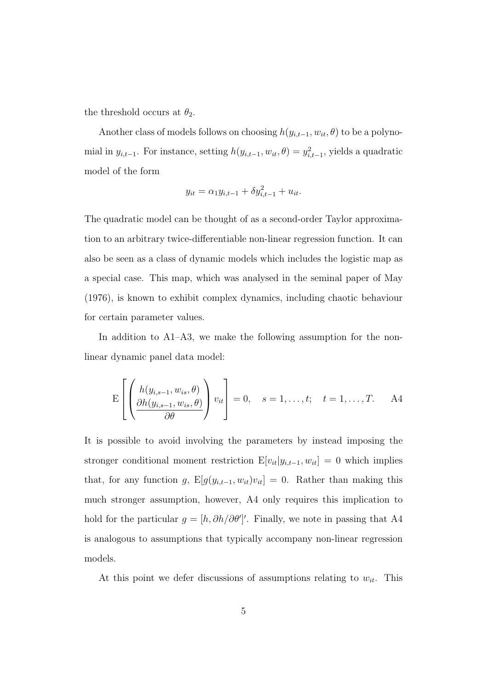the threshold occurs at  $\theta_2$ .

Another class of models follows on choosing  $h(y_{i,t-1}, w_{it}, \theta)$  to be a polynomial in  $y_{i,t-1}$ . For instance, setting  $h(y_{i,t-1}, w_{it}, \theta) = y_{i,t-1}^2$ , yields a quadratic model of the form

$$
y_{it} = \alpha_1 y_{i,t-1} + \delta y_{i,t-1}^2 + u_{it}.
$$

The quadratic model can be thought of as a second-order Taylor approximation to an arbitrary twice-differentiable non-linear regression function. It can also be seen as a class of dynamic models which includes the logistic map as a special case. This map, which was analysed in the seminal paper of May (1976), is known to exhibit complex dynamics, including chaotic behaviour for certain parameter values.

In addition to A1–A3, we make the following assumption for the nonlinear dynamic panel data model:

$$
\mathbf{E}\left[\left(\frac{h(y_{i,s-1}, w_{is}, \theta)}{\partial \theta}\right) v_{it}\right] = 0, \quad s = 1, \dots, t; \quad t = 1, \dots, T. \quad \text{A4}
$$

It is possible to avoid involving the parameters by instead imposing the stronger conditional moment restriction  $E[v_{it}|y_{i,t-1}, w_{it}] = 0$  which implies that, for any function g,  $E[g(y_{i,t-1}, w_{it})v_{it}] = 0$ . Rather than making this much stronger assumption, however, A4 only requires this implication to hold for the particular  $g = [h, \partial h / \partial \theta']'$ . Finally, we note in passing that A4 is analogous to assumptions that typically accompany non-linear regression models.

At this point we defer discussions of assumptions relating to  $w_{it}$ . This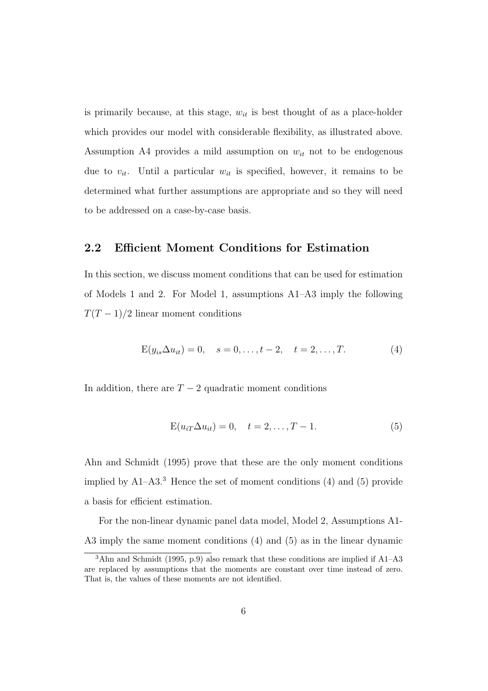is primarily because, at this stage,  $w_{it}$  is best thought of as a place-holder which provides our model with considerable flexibility, as illustrated above. Assumption A4 provides a mild assumption on  $w_{it}$  not to be endogenous due to  $v_{it}$ . Until a particular  $w_{it}$  is specified, however, it remains to be determined what further assumptions are appropriate and so they will need to be addressed on a case-by-case basis.

### 2.2 Efficient Moment Conditions for Estimation

In this section, we discuss moment conditions that can be used for estimation of Models 1 and 2. For Model 1, assumptions A1–A3 imply the following  $T(T-1)/2$  linear moment conditions

$$
E(y_{is}\Delta u_{it}) = 0, \quad s = 0, \dots, t - 2, \quad t = 2, \dots, T.
$$
 (4)

In addition, there are  $T-2$  quadratic moment conditions

$$
E(u_{iT}\Delta u_{it}) = 0, \quad t = 2, \dots, T - 1.
$$
 (5)

Ahn and Schmidt (1995) prove that these are the only moment conditions implied by  $A1-A3<sup>3</sup>$  Hence the set of moment conditions (4) and (5) provide a basis for efficient estimation.

For the non-linear dynamic panel data model, Model 2, Assumptions A1- A3 imply the same moment conditions (4) and (5) as in the linear dynamic

<sup>3</sup>Ahn and Schmidt (1995, p.9) also remark that these conditions are implied if A1–A3 are replaced by assumptions that the moments are constant over time instead of zero. That is, the values of these moments are not identified.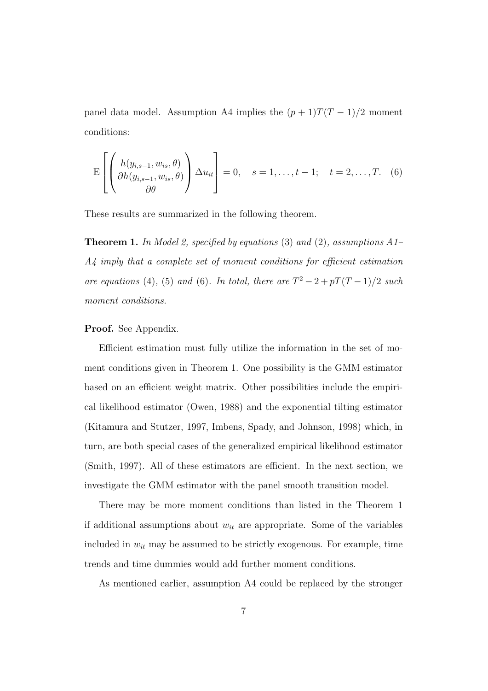panel data model. Assumption A4 implies the  $(p+1)T(T-1)/2$  moment conditions:

$$
E\left[\left(\frac{h(y_{i,s-1}, w_{is}, \theta)}{\partial \theta}\right) \Delta u_{it}\right] = 0, \quad s = 1, \dots, t-1; \quad t = 2, \dots, T. \quad (6)
$$

These results are summarized in the following theorem.

**Theorem 1.** In Model 2, specified by equations (3) and (2), assumptions  $A1-$ A4 imply that a complete set of moment conditions for efficient estimation are equations (4), (5) and (6). In total, there are  $T^2 - 2 + pT(T-1)/2$  such moment conditions.

#### Proof. See Appendix.

Efficient estimation must fully utilize the information in the set of moment conditions given in Theorem 1. One possibility is the GMM estimator based on an efficient weight matrix. Other possibilities include the empirical likelihood estimator (Owen, 1988) and the exponential tilting estimator (Kitamura and Stutzer, 1997, Imbens, Spady, and Johnson, 1998) which, in turn, are both special cases of the generalized empirical likelihood estimator (Smith, 1997). All of these estimators are efficient. In the next section, we investigate the GMM estimator with the panel smooth transition model.

There may be more moment conditions than listed in the Theorem 1 if additional assumptions about  $w_{it}$  are appropriate. Some of the variables included in  $w_{it}$  may be assumed to be strictly exogenous. For example, time trends and time dummies would add further moment conditions.

As mentioned earlier, assumption A4 could be replaced by the stronger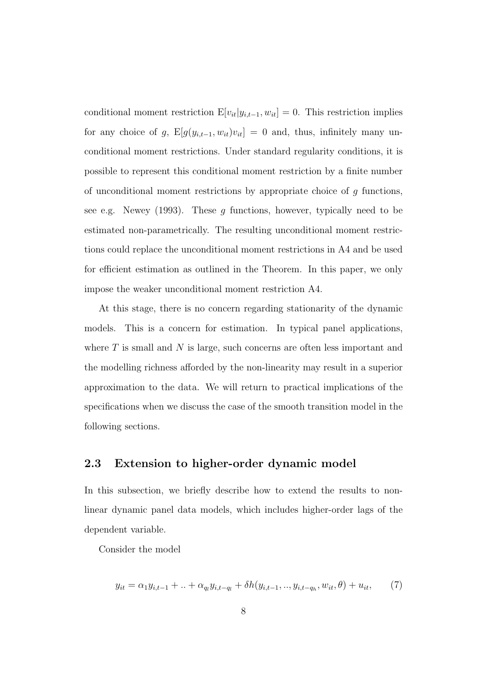conditional moment restriction  $E[v_{it}|y_{i,t-1}, w_{it}] = 0$ . This restriction implies for any choice of g,  $E[g(y_{i,t-1}, w_{it})v_{it}] = 0$  and, thus, infinitely many unconditional moment restrictions. Under standard regularity conditions, it is possible to represent this conditional moment restriction by a finite number of unconditional moment restrictions by appropriate choice of  $g$  functions, see e.g. Newey  $(1993)$ . These g functions, however, typically need to be estimated non-parametrically. The resulting unconditional moment restrictions could replace the unconditional moment restrictions in A4 and be used for efficient estimation as outlined in the Theorem. In this paper, we only impose the weaker unconditional moment restriction A4.

At this stage, there is no concern regarding stationarity of the dynamic models. This is a concern for estimation. In typical panel applications, where  $T$  is small and  $N$  is large, such concerns are often less important and the modelling richness afforded by the non-linearity may result in a superior approximation to the data. We will return to practical implications of the specifications when we discuss the case of the smooth transition model in the following sections.

#### 2.3 Extension to higher-order dynamic model

In this subsection, we briefly describe how to extend the results to nonlinear dynamic panel data models, which includes higher-order lags of the dependent variable.

Consider the model

$$
y_{it} = \alpha_1 y_{i,t-1} + \ldots + \alpha_{q_l} y_{i,t-q_l} + \delta h(y_{i,t-1}, \ldots, y_{i,t-q_h}, w_{it}, \theta) + u_{it}, \qquad (7)
$$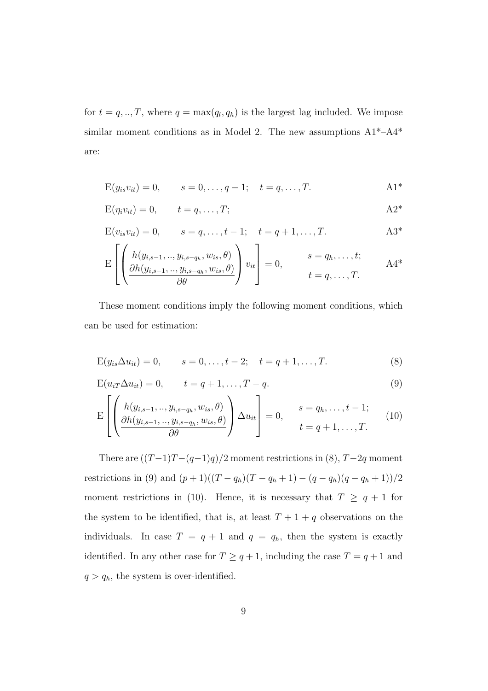for  $t = q, ..., T$ , where  $q = max(q_l, q_h)$  is the largest lag included. We impose similar moment conditions as in Model 2. The new assumptions A1\*–A4\* are:

$$
E(y_{is}v_{it}) = 0,
$$
  $s = 0, ..., q - 1;$   $t = q, ..., T.$  A1<sup>\*</sup>

$$
E(\eta_i v_{it}) = 0, \qquad t = q, \dots, T; \qquad A2^*
$$

$$
E(v_{is}v_{it}) = 0,
$$
  $s = q, ..., t - 1;$   $t = q + 1, ..., T.$  A3\*

$$
\mathbf{E}\left[\left(\frac{h(y_{i,s-1},...,y_{i,s-q_h},w_{is},\theta)}{\partial \theta},y_{is,\theta}\right)v_{it}\right]=0, \qquad s=q_h,\ldots,t;\\qquad \qquad \mathbf{A4*}
$$

These moment conditions imply the following moment conditions, which can be used for estimation:

$$
E(y_{is}\Delta u_{it}) = 0, \qquad s = 0, \dots, t - 2; \quad t = q + 1, \dots, T.
$$
 (8)

$$
E(u_{iT}\Delta u_{it})=0, \qquad t=q+1,\ldots,T-q.
$$
\n(9)

$$
\mathbf{E}\left[\left(\frac{h(y_{i,s-1},...,y_{i,s-q_h},w_{is},\theta)}{\partial \theta},\frac{\partial w_{is}}{\partial \theta}\right)\Delta u_{it}\right]=0, \qquad s=q_h,\ldots,t-1;\\ t=q+1,\ldots,T. \tag{10}
$$

There are  $((T-1)T-(q-1)q)/2$  moment restrictions in (8),  $T-2q$  moment restrictions in (9) and  $(p+1)((T-q_h)(T-q_h+1)-(q-q_h)(q-q_h+1))/2$ moment restrictions in (10). Hence, it is necessary that  $T \geq q+1$  for the system to be identified, that is, at least  $T + 1 + q$  observations on the individuals. In case  $T = q + 1$  and  $q = q_h$ , then the system is exactly identified. In any other case for  $T \ge q+1$ , including the case  $T = q+1$  and  $q > q_h$ , the system is over-identified.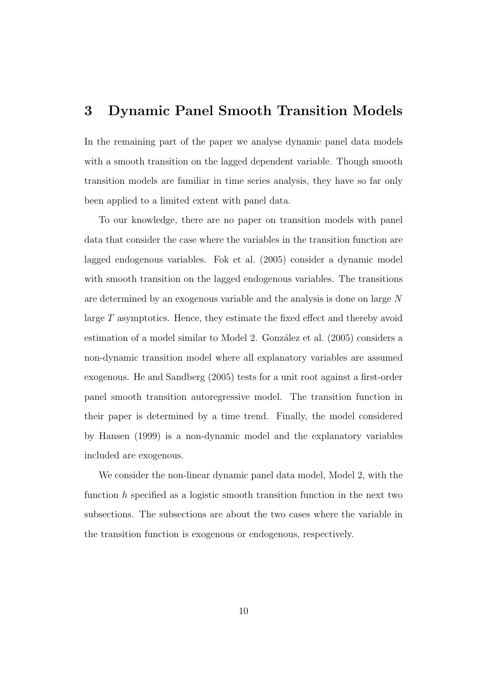### 3 Dynamic Panel Smooth Transition Models

In the remaining part of the paper we analyse dynamic panel data models with a smooth transition on the lagged dependent variable. Though smooth transition models are familiar in time series analysis, they have so far only been applied to a limited extent with panel data.

To our knowledge, there are no paper on transition models with panel data that consider the case where the variables in the transition function are lagged endogenous variables. Fok et al. (2005) consider a dynamic model with smooth transition on the lagged endogenous variables. The transitions are determined by an exogenous variable and the analysis is done on large N large T asymptotics. Hence, they estimate the fixed effect and thereby avoid estimation of a model similar to Model 2. González et al. (2005) considers a non-dynamic transition model where all explanatory variables are assumed exogenous. He and Sandberg (2005) tests for a unit root against a first-order panel smooth transition autoregressive model. The transition function in their paper is determined by a time trend. Finally, the model considered by Hansen (1999) is a non-dynamic model and the explanatory variables included are exogenous.

We consider the non-linear dynamic panel data model, Model 2, with the function h specified as a logistic smooth transition function in the next two subsections. The subsections are about the two cases where the variable in the transition function is exogenous or endogenous, respectively.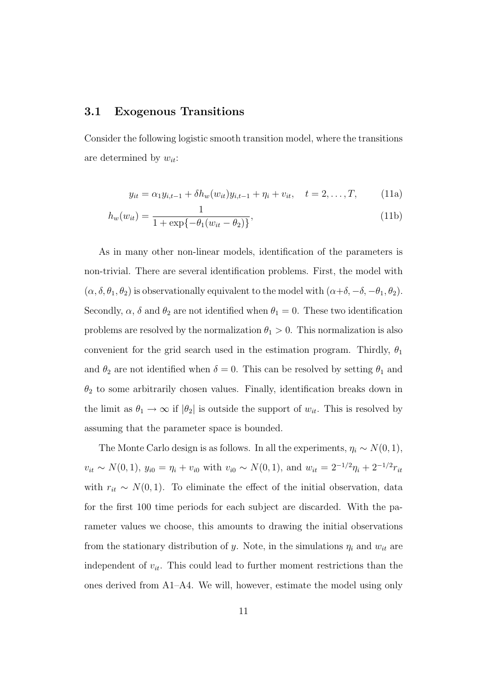### 3.1 Exogenous Transitions

Consider the following logistic smooth transition model, where the transitions are determined by  $w_{it}$ :

$$
y_{it} = \alpha_1 y_{i,t-1} + \delta h_w(w_{it}) y_{i,t-1} + \eta_i + v_{it}, \quad t = 2, \dots, T,
$$
 (11a)

$$
h_w(w_{it}) = \frac{1}{1 + \exp\{-\theta_1(w_{it} - \theta_2)\}},
$$
\n(11b)

As in many other non-linear models, identification of the parameters is non-trivial. There are several identification problems. First, the model with  $(\alpha, \delta, \theta_1, \theta_2)$  is observationally equivalent to the model with  $(\alpha+\delta, -\delta, -\theta_1, \theta_2)$ . Secondly,  $\alpha$ ,  $\delta$  and  $\theta_2$  are not identified when  $\theta_1 = 0$ . These two identification problems are resolved by the normalization  $\theta_1 > 0$ . This normalization is also convenient for the grid search used in the estimation program. Thirdly,  $\theta_1$ and  $\theta_2$  are not identified when  $\delta = 0$ . This can be resolved by setting  $\theta_1$  and  $\theta_2$  to some arbitrarily chosen values. Finally, identification breaks down in the limit as  $\theta_1 \to \infty$  if  $|\theta_2|$  is outside the support of  $w_{it}$ . This is resolved by assuming that the parameter space is bounded.

The Monte Carlo design is as follows. In all the experiments,  $\eta_i \sim N(0, 1)$ ,  $v_{it} \sim N(0, 1), y_{i0} = \eta_i + v_{i0}$  with  $v_{i0} \sim N(0, 1),$  and  $w_{it} = 2^{-1/2} \eta_i + 2^{-1/2} r_{it}$ with  $r_{it} \sim N(0, 1)$ . To eliminate the effect of the initial observation, data for the first 100 time periods for each subject are discarded. With the parameter values we choose, this amounts to drawing the initial observations from the stationary distribution of y. Note, in the simulations  $\eta_i$  and  $w_{it}$  are independent of  $v_{it}$ . This could lead to further moment restrictions than the ones derived from A1–A4. We will, however, estimate the model using only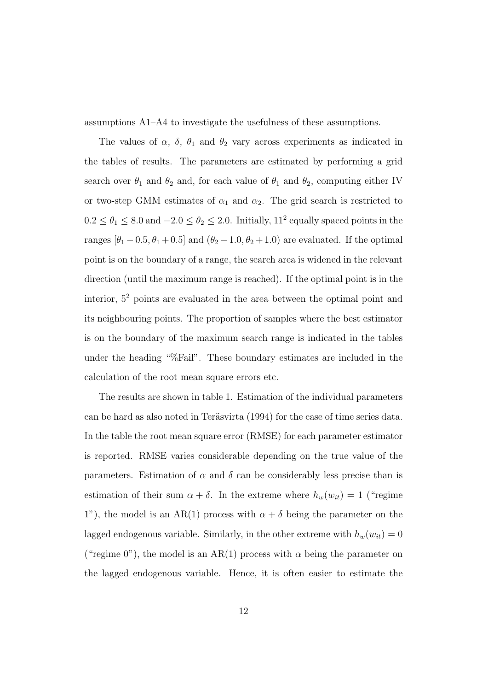assumptions A1–A4 to investigate the usefulness of these assumptions.

The values of  $\alpha$ ,  $\delta$ ,  $\theta_1$  and  $\theta_2$  vary across experiments as indicated in the tables of results. The parameters are estimated by performing a grid search over  $\theta_1$  and  $\theta_2$  and, for each value of  $\theta_1$  and  $\theta_2$ , computing either IV or two-step GMM estimates of  $\alpha_1$  and  $\alpha_2$ . The grid search is restricted to  $0.2 \le \theta_1 \le 8.0$  and  $-2.0 \le \theta_2 \le 2.0$ . Initially, 11<sup>2</sup> equally spaced points in the ranges  $[\theta_1 - 0.5, \theta_1 + 0.5]$  and  $(\theta_2 - 1.0, \theta_2 + 1.0)$  are evaluated. If the optimal point is on the boundary of a range, the search area is widened in the relevant direction (until the maximum range is reached). If the optimal point is in the interior, 5<sup>2</sup> points are evaluated in the area between the optimal point and its neighbouring points. The proportion of samples where the best estimator is on the boundary of the maximum search range is indicated in the tables under the heading "%Fail". These boundary estimates are included in the calculation of the root mean square errors etc.

The results are shown in table 1. Estimation of the individual parameters can be hard as also noted in Teräsvirta (1994) for the case of time series data. In the table the root mean square error (RMSE) for each parameter estimator is reported. RMSE varies considerable depending on the true value of the parameters. Estimation of  $\alpha$  and  $\delta$  can be considerably less precise than is estimation of their sum  $\alpha + \delta$ . In the extreme where  $h_w(w_{it}) = 1$  ("regime 1"), the model is an AR(1) process with  $\alpha + \delta$  being the parameter on the lagged endogenous variable. Similarly, in the other extreme with  $h_w(w_{it}) = 0$ ("regime 0"), the model is an AR(1) process with  $\alpha$  being the parameter on the lagged endogenous variable. Hence, it is often easier to estimate the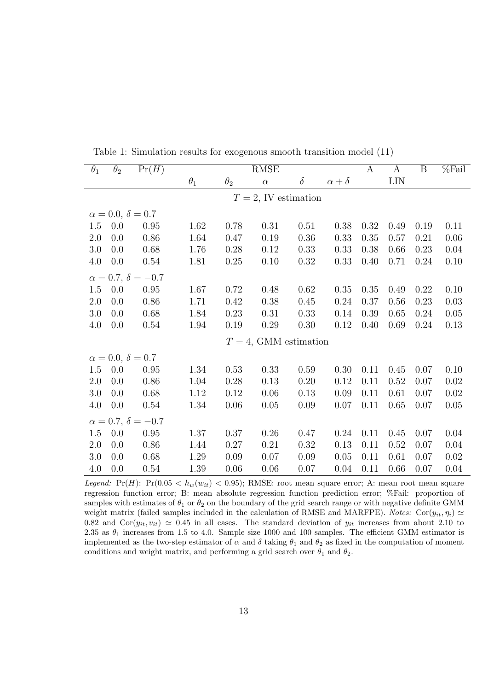| $\theta_1$                    | $\theta_2$ | Pr(H) | RMSE       |            |          |          | $\boldsymbol{A}$ | $\boldsymbol{A}$ | $\overline{B}$ | %Fail |      |
|-------------------------------|------------|-------|------------|------------|----------|----------|------------------|------------------|----------------|-------|------|
|                               |            |       | $\theta_1$ | $\theta_2$ | $\alpha$ | $\delta$ | $\alpha+\delta$  |                  | <b>LIN</b>     |       |      |
| $T=2$ , IV estimation         |            |       |            |            |          |          |                  |                  |                |       |      |
| $\alpha = 0.0, \delta = 0.7$  |            |       |            |            |          |          |                  |                  |                |       |      |
| 1.5                           | 0.0        | 0.95  | 1.62       | 0.78       | 0.31     | 0.51     | 0.38             | 0.32             | 0.49           | 0.19  | 0.11 |
| 2.0                           | 0.0        | 0.86  | 1.64       | 0.47       | 0.19     | 0.36     | 0.33             | 0.35             | 0.57           | 0.21  | 0.06 |
| 3.0                           | 0.0        | 0.68  | 1.76       | $0.28\,$   | 0.12     | 0.33     | 0.33             | 0.38             | 0.66           | 0.23  | 0.04 |
| 4.0                           | 0.0        | 0.54  | 1.81       | 0.25       | 0.10     | 0.32     | 0.33             | 0.40             | 0.71           | 0.24  | 0.10 |
| $\alpha = 0.7, \delta = -0.7$ |            |       |            |            |          |          |                  |                  |                |       |      |
| 1.5                           | 0.0        | 0.95  | 1.67       | 0.72       | 0.48     | 0.62     | 0.35             | 0.35             | 0.49           | 0.22  | 0.10 |
| 2.0                           | 0.0        | 0.86  | 1.71       | 0.42       | 0.38     | 0.45     | 0.24             | 0.37             | 0.56           | 0.23  | 0.03 |
| 3.0                           | 0.0        | 0.68  | 1.84       | 0.23       | 0.31     | 0.33     | 0.14             | 0.39             | 0.65           | 0.24  | 0.05 |
| 4.0                           | 0.0        | 0.54  | 1.94       | 0.19       | 0.29     | $0.30\,$ | 0.12             | 0.40             | 0.69           | 0.24  | 0.13 |
| $T = 4$ , GMM estimation      |            |       |            |            |          |          |                  |                  |                |       |      |
| $\alpha = 0.0, \delta = 0.7$  |            |       |            |            |          |          |                  |                  |                |       |      |
| 1.5                           | 0.0        | 0.95  | 1.34       | 0.53       | 0.33     | 0.59     | 0.30             | 0.11             | 0.45           | 0.07  | 0.10 |
| 2.0                           | 0.0        | 0.86  | 1.04       | $0.28\,$   | 0.13     | $0.20\,$ | 0.12             | 0.11             | 0.52           | 0.07  | 0.02 |
| 3.0                           | 0.0        | 0.68  | 1.12       | 0.12       | 0.06     | 0.13     | 0.09             | 0.11             | 0.61           | 0.07  | 0.02 |
| 4.0                           | 0.0        | 0.54  | 1.34       | $0.06\,$   | 0.05     | 0.09     | 0.07             | 0.11             | 0.65           | 0.07  | 0.05 |
| $\alpha = 0.7, \delta = -0.7$ |            |       |            |            |          |          |                  |                  |                |       |      |
| 1.5                           | 0.0        | 0.95  | 1.37       | 0.37       | 0.26     | 0.47     | 0.24             | 0.11             | 0.45           | 0.07  | 0.04 |
| 2.0                           | 0.0        | 0.86  | 1.44       | 0.27       | 0.21     | 0.32     | 0.13             | 0.11             | 0.52           | 0.07  | 0.04 |
| 3.0                           | 0.0        | 0.68  | 1.29       | 0.09       | 0.07     | 0.09     | 0.05             | 0.11             | 0.61           | 0.07  | 0.02 |
| $4.0\,$                       | 0.0        | 0.54  | 1.39       | 0.06       | 0.06     | 0.07     | 0.04             | 0.11             | 0.66           | 0.07  | 0.04 |

Table 1: Simulation results for exogenous smooth transition model (11)

Legend:  $Pr(H)$ :  $Pr(0.05 < h_w(w_{it}) < 0.95)$ ; RMSE: root mean square error; A: mean root mean square regression function error; B: mean absolute regression function prediction error; %Fail: proportion of samples with estimates of  $\theta_1$  or  $\theta_2$  on the boundary of the grid search range or with negative definite GMM weight matrix (failed samples included in the calculation of RMSE and MARFPE). Notes: Cor $(y_{it}, \eta_i) \simeq$ 0.82 and  $Cor(y_{it}, v_{it}) \simeq 0.45$  in all cases. The standard deviation of  $y_{it}$  increases from about 2.10 to 2.35 as  $\theta_1$  increases from 1.5 to 4.0. Sample size 1000 and 100 samples. The efficient GMM estimator is implemented as the two-step estimator of  $\alpha$  and  $\delta$  taking  $\theta_1$  and  $\theta_2$  as fixed in the computation of moment conditions and weight matrix, and performing a grid search over  $\theta_1$  and  $\theta_2$ .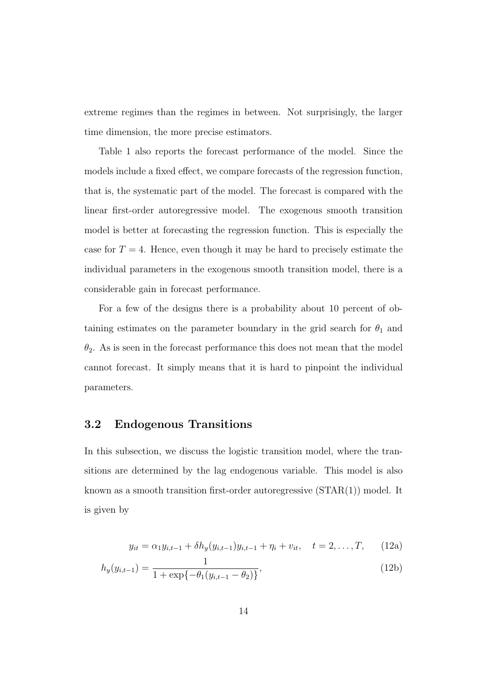extreme regimes than the regimes in between. Not surprisingly, the larger time dimension, the more precise estimators.

Table 1 also reports the forecast performance of the model. Since the models include a fixed effect, we compare forecasts of the regression function, that is, the systematic part of the model. The forecast is compared with the linear first-order autoregressive model. The exogenous smooth transition model is better at forecasting the regression function. This is especially the case for  $T = 4$ . Hence, even though it may be hard to precisely estimate the individual parameters in the exogenous smooth transition model, there is a considerable gain in forecast performance.

For a few of the designs there is a probability about 10 percent of obtaining estimates on the parameter boundary in the grid search for  $\theta_1$  and  $\theta_2$ . As is seen in the forecast performance this does not mean that the model cannot forecast. It simply means that it is hard to pinpoint the individual parameters.

#### 3.2 Endogenous Transitions

In this subsection, we discuss the logistic transition model, where the transitions are determined by the lag endogenous variable. This model is also known as a smooth transition first-order autoregressive (STAR(1)) model. It is given by

$$
y_{it} = \alpha_1 y_{i,t-1} + \delta h_y(y_{i,t-1}) y_{i,t-1} + \eta_i + v_{it}, \quad t = 2, \dots, T,
$$
 (12a)

$$
h_y(y_{i,t-1}) = \frac{1}{1 + \exp\{-\theta_1(y_{i,t-1} - \theta_2)\}},
$$
\n(12b)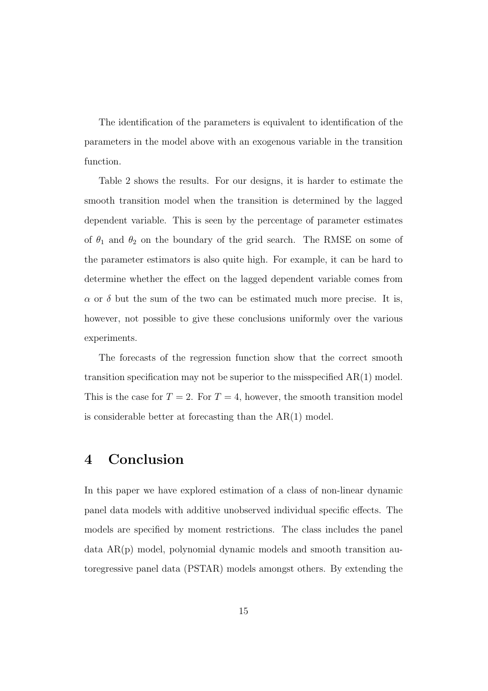The identification of the parameters is equivalent to identification of the parameters in the model above with an exogenous variable in the transition function.

Table 2 shows the results. For our designs, it is harder to estimate the smooth transition model when the transition is determined by the lagged dependent variable. This is seen by the percentage of parameter estimates of  $\theta_1$  and  $\theta_2$  on the boundary of the grid search. The RMSE on some of the parameter estimators is also quite high. For example, it can be hard to determine whether the effect on the lagged dependent variable comes from  $\alpha$  or  $\delta$  but the sum of the two can be estimated much more precise. It is, however, not possible to give these conclusions uniformly over the various experiments.

The forecasts of the regression function show that the correct smooth transition specification may not be superior to the misspecified AR(1) model. This is the case for  $T = 2$ . For  $T = 4$ , however, the smooth transition model is considerable better at forecasting than the AR(1) model.

### 4 Conclusion

In this paper we have explored estimation of a class of non-linear dynamic panel data models with additive unobserved individual specific effects. The models are specified by moment restrictions. The class includes the panel data AR(p) model, polynomial dynamic models and smooth transition autoregressive panel data (PSTAR) models amongst others. By extending the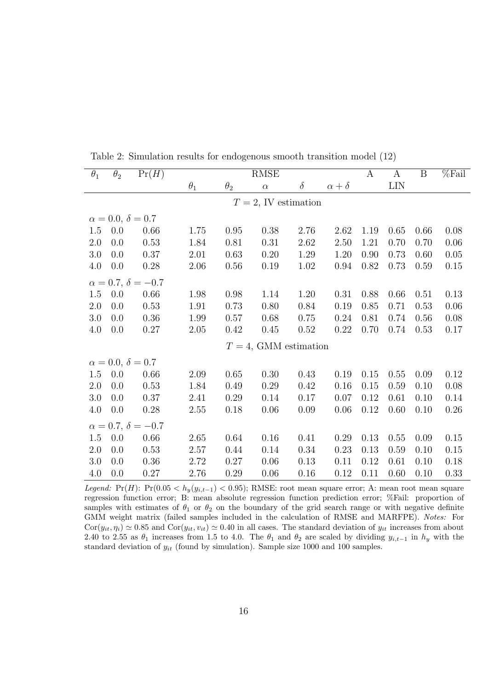| $\theta_1$                    | $\theta_2$ | Pr(H)                        | <b>RMSE</b> |            |          |          |                   | $\mathbf{A}$ | $\boldsymbol{A}$ | $\overline{B}$ | %Fail    |
|-------------------------------|------------|------------------------------|-------------|------------|----------|----------|-------------------|--------------|------------------|----------------|----------|
|                               |            |                              | $\theta_1$  | $\theta_2$ | $\alpha$ | $\delta$ | $\alpha + \delta$ |              | <b>LIN</b>       |                |          |
| $T=2$ , IV estimation         |            |                              |             |            |          |          |                   |              |                  |                |          |
| $\alpha = 0.0, \delta = 0.7$  |            |                              |             |            |          |          |                   |              |                  |                |          |
|                               |            |                              |             |            |          |          |                   |              |                  |                |          |
| 1.5                           | 0.0        | 0.66                         | 1.75        | 0.95       | 0.38     | 2.76     | 2.62              | 1.19         | 0.65             | 0.66           | 0.08     |
| 2.0                           | 0.0        | 0.53                         | 1.84        | 0.81       | 0.31     | 2.62     | 2.50              | 1.21         | 0.70             | 0.70           | 0.06     |
| 3.0                           | 0.0        | 0.37                         | 2.01        | 0.63       | 0.20     | 1.29     | 1.20              | 0.90         | 0.73             | 0.60           | $0.05\,$ |
| 4.0                           | 0.0        | 0.28                         | 2.06        | 0.56       | 0.19     | 1.02     | 0.94              | 0.82         | 0.73             | 0.59           | 0.15     |
| $\alpha = 0.7, \delta = -0.7$ |            |                              |             |            |          |          |                   |              |                  |                |          |
| 1.5                           | 0.0        | 0.66                         | 1.98        | $0.98\,$   | 1.14     | 1.20     | 0.31              | 0.88         | 0.66             | 0.51           | 0.13     |
| 2.0                           | 0.0        | 0.53                         | 1.91        | 0.73       | 0.80     | 0.84     | 0.19              | 0.85         | 0.71             | 0.53           | 0.06     |
| 3.0                           | 0.0        | 0.36                         | 1.99        | 0.57       | 0.68     | 0.75     | 0.24              | 0.81         | 0.74             | 0.56           | 0.08     |
| 4.0                           | 0.0        | 0.27                         | 2.05        | 0.42       | 0.45     | 0.52     | 0.22              | 0.70         | 0.74             | 0.53           | 0.17     |
| $T = 4$ , GMM estimation      |            |                              |             |            |          |          |                   |              |                  |                |          |
|                               |            |                              |             |            |          |          |                   |              |                  |                |          |
|                               |            | $\alpha = 0.0, \delta = 0.7$ |             |            |          |          |                   |              |                  |                |          |
| 1.5                           | 0.0        | 0.66                         | 2.09        | 0.65       | 0.30     | 0.43     | 0.19              | 0.15         | 0.55             | 0.09           | 0.12     |
| 2.0                           | 0.0        | 0.53                         | 1.84        | 0.49       | 0.29     | 0.42     | 0.16              | 0.15         | 0.59             | 0.10           | 0.08     |
| 3.0                           | 0.0        | 0.37                         | 2.41        | 0.29       | 0.14     | 0.17     | 0.07              | 0.12         | 0.61             | 0.10           | 0.14     |
| 4.0                           | 0.0        | 0.28                         | 2.55        | 0.18       | 0.06     | 0.09     | 0.06              | 0.12         | 0.60             | 0.10           | 0.26     |
| $\alpha = 0.7, \delta = -0.7$ |            |                              |             |            |          |          |                   |              |                  |                |          |
| $1.5\,$                       | 0.0        | 0.66                         | 2.65        | 0.64       | $0.16\,$ | 0.41     | 0.29              | 0.13         | 0.55             | 0.09           | $0.15\,$ |
| 2.0                           | 0.0        | 0.53                         | 2.57        | 0.44       | 0.14     | 0.34     | 0.23              | 0.13         | 0.59             | 0.10           | $0.15\,$ |
| $3.0\,$                       | 0.0        | 0.36                         | 2.72        | 0.27       | 0.06     | 0.13     | 0.11              | 0.12         | 0.61             | 0.10           | 0.18     |
| 4.0                           | 0.0        | 0.27                         | 2.76        | 0.29       | 0.06     | 0.16     | 0.12              | 0.11         | 0.60             | 0.10           | 0.33     |

Table 2: Simulation results for endogenous smooth transition model (12)

Legend: Pr(H): Pr(0.05 <  $h_y(y_{i,t-1})$  < 0.95); RMSE: root mean square error; A: mean root mean square regression function error; B: mean absolute regression function prediction error; %Fail: proportion of samples with estimates of  $\theta_1$  or  $\theta_2$  on the boundary of the grid search range or with negative definite GMM weight matrix (failed samples included in the calculation of RMSE and MARFPE). Notes: For  $Cor(y_{it}, \eta_i) \simeq 0.85$  and  $Cor(y_{it}, v_{it}) \simeq 0.40$  in all cases. The standard deviation of  $y_{it}$  increases from about 2.40 to 2.55 as  $\theta_1$  increases from 1.5 to 4.0. The  $\theta_1$  and  $\theta_2$  are scaled by dividing  $y_{i,t-1}$  in  $h_y$  with the standard deviation of  $y_{it}$  (found by simulation). Sample size 1000 and 100 samples.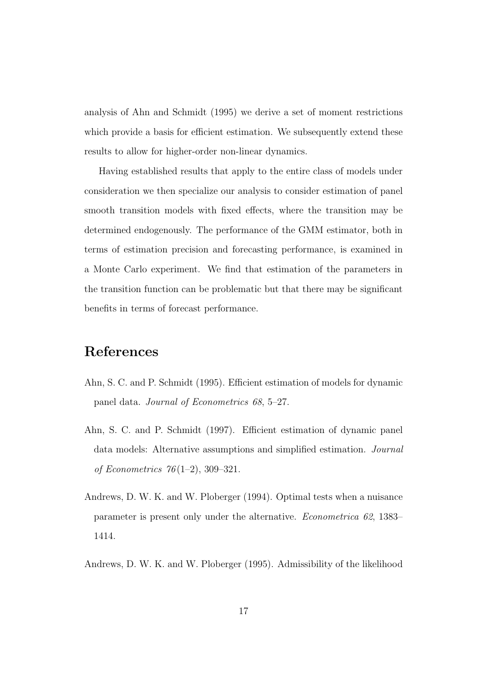analysis of Ahn and Schmidt (1995) we derive a set of moment restrictions which provide a basis for efficient estimation. We subsequently extend these results to allow for higher-order non-linear dynamics.

Having established results that apply to the entire class of models under consideration we then specialize our analysis to consider estimation of panel smooth transition models with fixed effects, where the transition may be determined endogenously. The performance of the GMM estimator, both in terms of estimation precision and forecasting performance, is examined in a Monte Carlo experiment. We find that estimation of the parameters in the transition function can be problematic but that there may be significant benefits in terms of forecast performance.

### References

- Ahn, S. C. and P. Schmidt (1995). Efficient estimation of models for dynamic panel data. Journal of Econometrics 68, 5–27.
- Ahn, S. C. and P. Schmidt (1997). Efficient estimation of dynamic panel data models: Alternative assumptions and simplified estimation. Journal of Econometrics  $76(1-2)$ , 309-321.
- Andrews, D. W. K. and W. Ploberger (1994). Optimal tests when a nuisance parameter is present only under the alternative. Econometrica 62, 1383– 1414.
- Andrews, D. W. K. and W. Ploberger (1995). Admissibility of the likelihood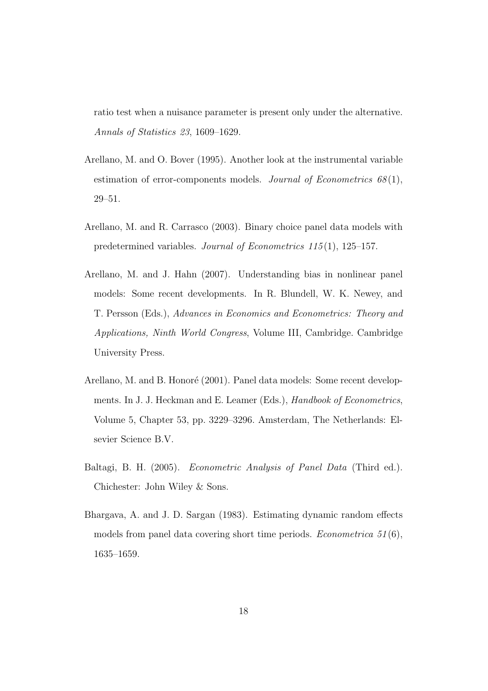ratio test when a nuisance parameter is present only under the alternative. Annals of Statistics 23, 1609–1629.

- Arellano, M. and O. Bover (1995). Another look at the instrumental variable estimation of error-components models. Journal of Econometrics  $68(1)$ , 29–51.
- Arellano, M. and R. Carrasco (2003). Binary choice panel data models with predetermined variables. Journal of Econometrics 115 (1), 125–157.
- Arellano, M. and J. Hahn (2007). Understanding bias in nonlinear panel models: Some recent developments. In R. Blundell, W. K. Newey, and T. Persson (Eds.), Advances in Economics and Econometrics: Theory and Applications, Ninth World Congress, Volume III, Cambridge. Cambridge University Press.
- Arellano, M. and B. Honoré (2001). Panel data models: Some recent developments. In J. J. Heckman and E. Leamer (Eds.), Handbook of Econometrics, Volume 5, Chapter 53, pp. 3229–3296. Amsterdam, The Netherlands: Elsevier Science B.V.
- Baltagi, B. H. (2005). *Econometric Analysis of Panel Data* (Third ed.). Chichester: John Wiley & Sons.
- Bhargava, A. and J. D. Sargan (1983). Estimating dynamic random effects models from panel data covering short time periods. *Econometrica*  $51(6)$ , 1635–1659.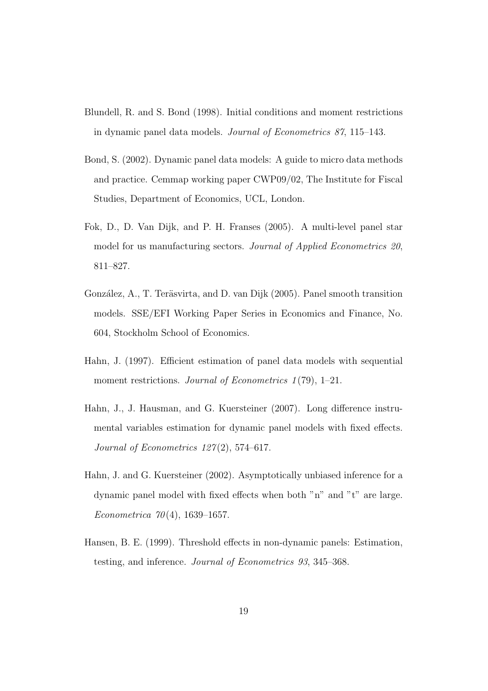- Blundell, R. and S. Bond (1998). Initial conditions and moment restrictions in dynamic panel data models. Journal of Econometrics 87, 115–143.
- Bond, S. (2002). Dynamic panel data models: A guide to micro data methods and practice. Cemmap working paper CWP09/02, The Institute for Fiscal Studies, Department of Economics, UCL, London.
- Fok, D., D. Van Dijk, and P. H. Franses (2005). A multi-level panel star model for us manufacturing sectors. Journal of Applied Econometrics 20, 811–827.
- González, A., T. Teräsvirta, and D. van Dijk (2005). Panel smooth transition models. SSE/EFI Working Paper Series in Economics and Finance, No. 604, Stockholm School of Economics.
- Hahn, J. (1997). Efficient estimation of panel data models with sequential moment restrictions. Journal of Econometrics  $1(79)$ , 1–21.
- Hahn, J., J. Hausman, and G. Kuersteiner (2007). Long difference instrumental variables estimation for dynamic panel models with fixed effects. Journal of Econometrics  $127(2)$ , 574–617.
- Hahn, J. and G. Kuersteiner (2002). Asymptotically unbiased inference for a dynamic panel model with fixed effects when both "n" and "t" are large. Econometrica  $70(4)$ , 1639–1657.
- Hansen, B. E. (1999). Threshold effects in non-dynamic panels: Estimation, testing, and inference. Journal of Econometrics 93, 345–368.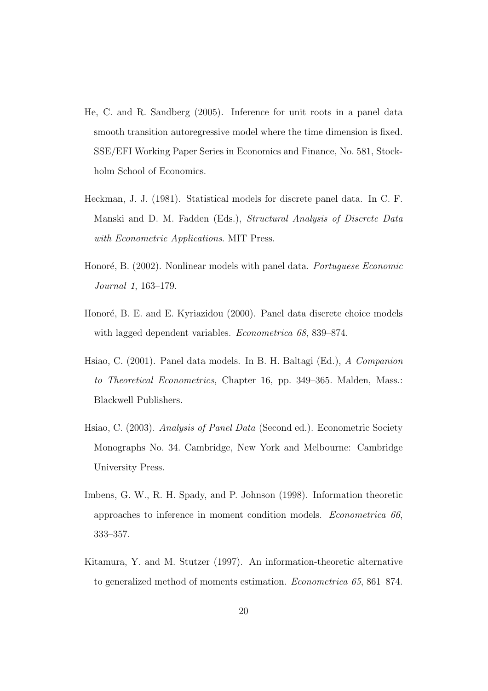- He, C. and R. Sandberg (2005). Inference for unit roots in a panel data smooth transition autoregressive model where the time dimension is fixed. SSE/EFI Working Paper Series in Economics and Finance, No. 581, Stockholm School of Economics.
- Heckman, J. J. (1981). Statistical models for discrete panel data. In C. F. Manski and D. M. Fadden (Eds.), Structural Analysis of Discrete Data with *Econometric Applications*. MIT Press.
- Honoré, B. (2002). Nonlinear models with panel data. Portuguese Economic Journal 1, 163–179.
- Honoré, B. E. and E. Kyriazidou (2000). Panel data discrete choice models with lagged dependent variables. *Econometrica 68*, 839–874.
- Hsiao, C. (2001). Panel data models. In B. H. Baltagi (Ed.), A Companion to Theoretical Econometrics, Chapter 16, pp. 349–365. Malden, Mass.: Blackwell Publishers.
- Hsiao, C. (2003). Analysis of Panel Data (Second ed.). Econometric Society Monographs No. 34. Cambridge, New York and Melbourne: Cambridge University Press.
- Imbens, G. W., R. H. Spady, and P. Johnson (1998). Information theoretic approaches to inference in moment condition models. Econometrica 66, 333–357.
- Kitamura, Y. and M. Stutzer (1997). An information-theoretic alternative to generalized method of moments estimation. Econometrica 65, 861–874.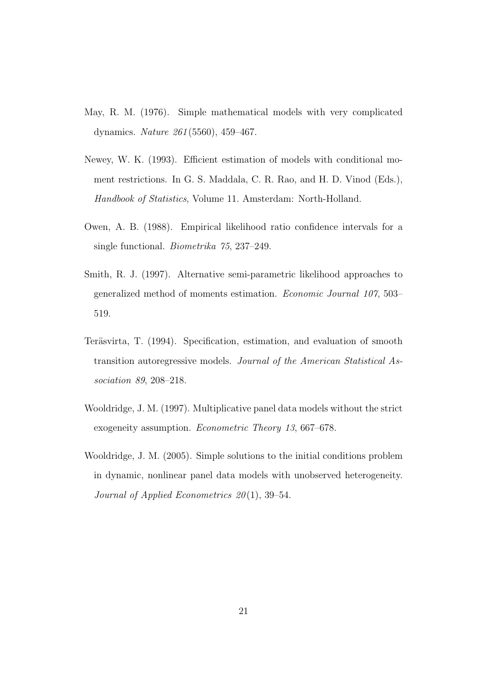- May, R. M. (1976). Simple mathematical models with very complicated dynamics. Nature 261 (5560), 459–467.
- Newey, W. K. (1993). Efficient estimation of models with conditional moment restrictions. In G. S. Maddala, C. R. Rao, and H. D. Vinod (Eds.), Handbook of Statistics, Volume 11. Amsterdam: North-Holland.
- Owen, A. B. (1988). Empirical likelihood ratio confidence intervals for a single functional. Biometrika 75, 237–249.
- Smith, R. J. (1997). Alternative semi-parametric likelihood approaches to generalized method of moments estimation. Economic Journal 107, 503– 519.
- Teräsvirta, T. (1994). Specification, estimation, and evaluation of smooth transition autoregressive models. Journal of the American Statistical Association 89, 208–218.
- Wooldridge, J. M. (1997). Multiplicative panel data models without the strict exogeneity assumption. Econometric Theory 13, 667–678.
- Wooldridge, J. M. (2005). Simple solutions to the initial conditions problem in dynamic, nonlinear panel data models with unobserved heterogeneity. Journal of Applied Econometrics  $20(1)$ , 39-54.